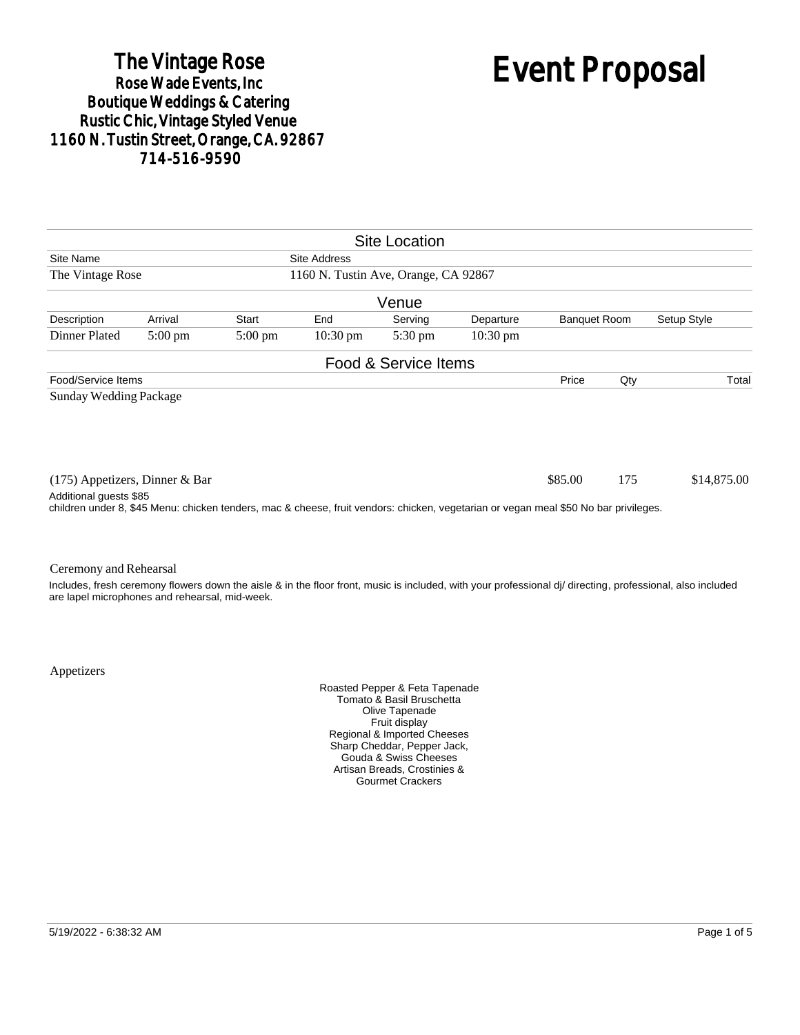# The Vintage Rose<br>Rose Wade Events, Inc. Boutique Weddings & Catering<br>Rustic Chic, Vintage Styled Venue 1160 N. Tustin Street, Orange, CA. 92867 714-516-9590

# Event Proposal

|                                                                                                                                                                |                   |                   |                    | <b>Site Location</b> |                    |                     |     |                                                                                                                                                        |
|----------------------------------------------------------------------------------------------------------------------------------------------------------------|-------------------|-------------------|--------------------|----------------------|--------------------|---------------------|-----|--------------------------------------------------------------------------------------------------------------------------------------------------------|
| Site Name<br>Site Address                                                                                                                                      |                   |                   |                    |                      |                    |                     |     |                                                                                                                                                        |
| 1160 N. Tustin Ave, Orange, CA 92867<br>The Vintage Rose                                                                                                       |                   |                   |                    |                      |                    |                     |     |                                                                                                                                                        |
|                                                                                                                                                                |                   |                   |                    | Venue                |                    |                     |     |                                                                                                                                                        |
| Description                                                                                                                                                    | Arrival           | Start             | End                | Serving              | Departure          | <b>Banquet Room</b> |     | Setup Style                                                                                                                                            |
| Dinner Plated                                                                                                                                                  | $5:00 \text{ pm}$ | $5:00 \text{ pm}$ | $10:30 \text{ pm}$ | $5:30 \text{ pm}$    | $10:30 \text{ pm}$ |                     |     |                                                                                                                                                        |
|                                                                                                                                                                |                   |                   |                    | Food & Service Items |                    |                     |     |                                                                                                                                                        |
| Food/Service Items                                                                                                                                             |                   |                   |                    |                      |                    | Price               | Qty | Total                                                                                                                                                  |
| <b>Sunday Wedding Package</b>                                                                                                                                  |                   |                   |                    |                      |                    |                     |     |                                                                                                                                                        |
| $(175)$ Appetizers, Dinner & Bar                                                                                                                               |                   |                   |                    |                      |                    | \$85.00             | 175 | \$14,875.00                                                                                                                                            |
| Additional guests \$85<br>children under 8, \$45 Menu: chicken tenders, mac & cheese, fruit vendors: chicken, vegetarian or vegan meal \$50 No bar privileges. |                   |                   |                    |                      |                    |                     |     |                                                                                                                                                        |
| Ceremony and Rehearsal                                                                                                                                         |                   |                   |                    |                      |                    |                     |     | locudes froch coromony flowers down the sister & in the floor front music is included with your professional did direction professional, also included |

Includes, fresh ceremony flowers down the aisle & in the floor front, music is included, with your professional dj/ directing, professional, also included are lapel microphones and rehearsal, mid-week.

Appetizers

Roasted Pepper & Feta Tapenade Tomato & Basil Bruschetta Olive Tapenade Fruit display Regional & Imported Cheeses Sharp Cheddar, Pepper Jack, Gouda & Swiss Cheeses Artisan Breads, Crostinies & Gourmet Crackers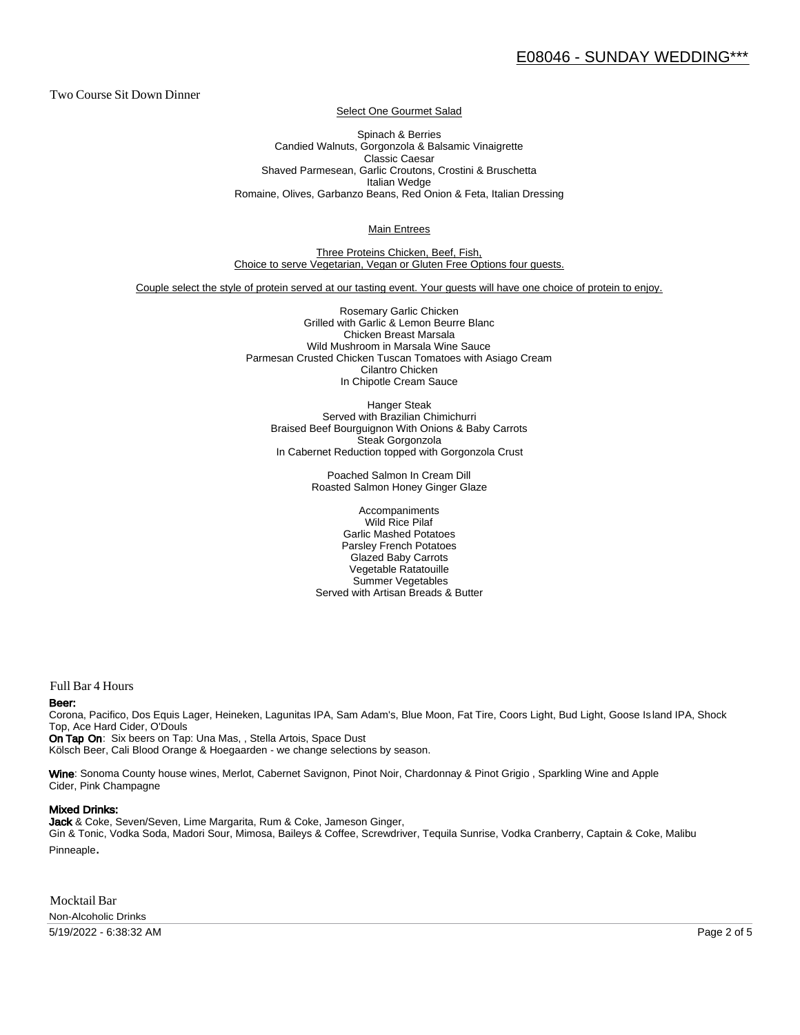Two Course Sit Down Dinner

Select One Gourmet Salad

Spinach & Berries Candied Walnuts, Gorgonzola & Balsamic Vinaigrette Classic Caesar Shaved Parmesean, Garlic Croutons, Crostini & Bruschetta Italian Wedge Romaine, Olives, Garbanzo Beans, Red Onion & Feta, Italian Dressing

Main Entrees

Three Proteins Chicken, Beef, Fish, Choice to serve Vegetarian, Vegan or Gluten Free Options four guests.

Couple select the style of protein served at our tasting event. Your guests will have one choice of protein to enjoy.

Rosemary Garlic Chicken Grilled with Garlic & Lemon Beurre Blanc Chicken Breast Marsala Wild Mushroom in Marsala Wine Sauce Parmesan Crusted Chicken Tuscan Tomatoes with Asiago Cream Cilantro Chicken In Chipotle Cream Sauce

Hanger Steak Served with Brazilian Chimichurri Braised Beef Bourguignon With Onions & Baby Carrots Steak Gorgonzola In Cabernet Reduction topped with Gorgonzola Crust

> Poached Salmon In Cream Dill Roasted Salmon Honey Ginger Glaze

Accompaniments Wild Rice Pilaf Garlic Mashed Potatoes Parsley French Potatoes Glazed Baby Carrots Vegetable Ratatouille Summer Vegetables Served with Artisan Breads & Butter

Full Bar 4 Hours

#### Beer:

Corona, Pacifico, Dos Equis Lager, Heineken, Lagunitas IPA, Sam Adam's, Blue Moon, Fat Tire, Coors Light, Bud Light, Goose Is land IPA, Shock Top, Ace Hard Cider, O'Douls

On Tap On: Six beers on Tap: Una Mas, , Stella Artois, Space Dust Kölsch Beer, Cali Blood Orange & Hoegaarden - we change selections by season.

Wine: Sonoma County house wines, Merlot, Cabernet Savignon, Pinot Noir, Chardonnay & Pinot Grigio, Sparkling Wine and Apple Cider, Pink Champagne

#### Mixed Drinks:

Jack & Coke, Seven/Seven, Lime Margarita, Rum & Coke, Jameson Ginger, Gin & Tonic, Vodka Soda, Madori Sour, Mimosa, Baileys & Coffee, Screwdriver, Tequila Sunrise, Vodka Cranberry, Captain & Coke, Malibu Pinneaple.

Mocktail Bar Non-Alcoholic Drinks

5/19/2022 - 6:38:32 AM Page 2 of 5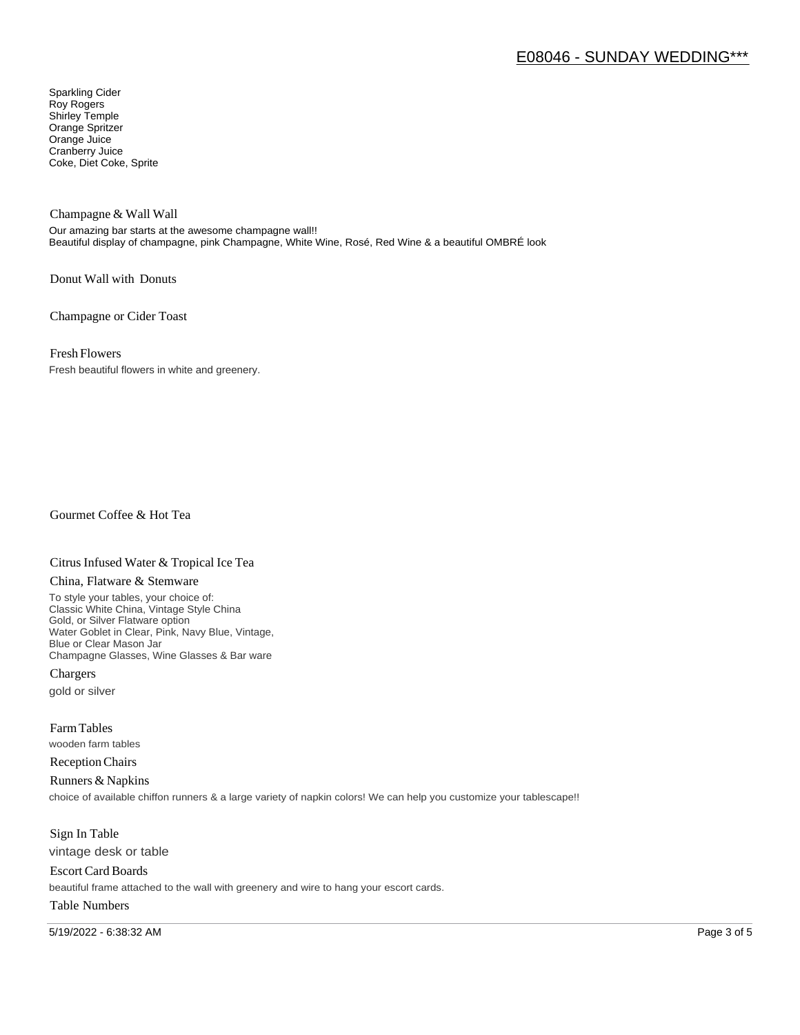# E08046 - SUNDAY WEDDING\*\*\*

Sparkling Cider Roy Rogers Shirley Temple Orange Spritzer Orange Juice Cranberry Juice Coke, Diet Coke, Sprite

Champagne & Wall Wall

Our amazing bar starts at the awesome champagne wall!! Beautiful display of champagne, pink Champagne, White Wine, Rosé, Red Wine & a beautiful OMBRÉ look

Donut Wall with Donuts

Champagne or Cider Toast

Fresh Flowers

Fresh beautiful flowers in white and greenery.

Gourmet Coffee & Hot Tea

#### Citrus Infused Water & Tropical Ice Tea

#### China, Flatware & Stemware

To style your tables, your choice of: Classic White China, Vintage Style China Gold, or Silver Flatware option Water Goblet in Clear, Pink, Navy Blue, Vintage, Blue or Clear Mason Jar Champagne Glasses, Wine Glasses & Bar ware

Chargers gold or silver

Farm Tables wooden farm tables

Reception Chairs

Runners & Napkins choice of available chiffon runners & a large variety of napkin colors! We can help you customize your tablescape!!

Sign In Table vintage desk or table

Escort Card Boards beautiful frame attached to the wall with greenery and wire to hang your escort cards.

### Table Numbers

5/19/2022 - 6:38:32 AM Page 3 of 5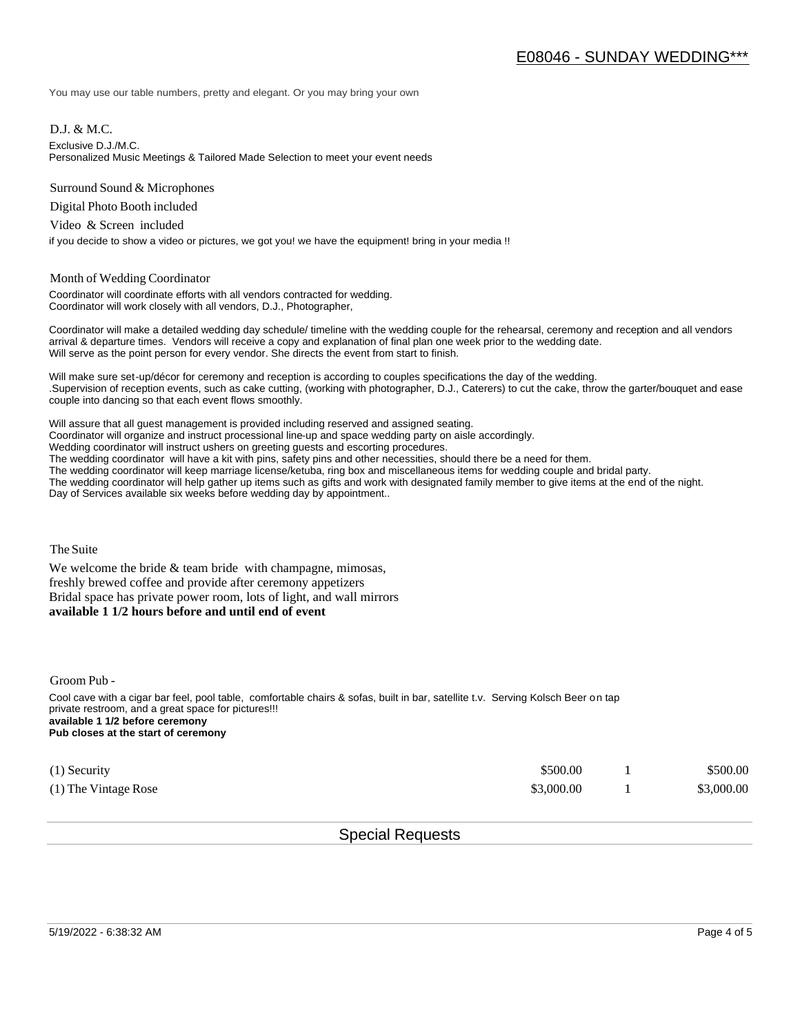You may use our table numbers, pretty and elegant. Or you may bring your own

D.J. & M.C.

Exclusive D.J./M.C.

Personalized Music Meetings & Tailored Made Selection to meet your event needs

Surround Sound & Microphones

Digital Photo Booth included

Video & Screen included

if you decide to show a video or pictures, we got you! we have the equipment! bring in your media !!

#### Month of Wedding Coordinator

Coordinator will coordinate efforts with all vendors contracted for wedding. Coordinator will work closely with all vendors, D.J., Photographer,

Coordinator will make a detailed wedding day schedule/ timeline with the wedding couple for the rehearsal, ceremony and reception and all vendors arrival & departure times. Vendors will receive a copy and explanation of final plan one week prior to the wedding date. Will serve as the point person for every vendor. She directs the event from start to finish.

Will make sure set-up/décor for ceremony and reception is according to couples specifications the day of the wedding. .Supervision of reception events, such as cake cutting, (working with photographer, D.J., Caterers) to cut the cake, throw the garter/bouquet and ease couple into dancing so that each event flows smoothly.

Will assure that all guest management is provided including reserved and assigned seating. Coordinator will organize and instruct processional line-up and space wedding party on aisle accordingly. Wedding coordinator will instruct ushers on greeting guests and escorting procedures. The wedding coordinator will have a kit with pins, safety pins and other necessities, should there be a need for them. The wedding coordinator will keep marriage license/ketuba, ring box and miscellaneous items for wedding couple and bridal party. The wedding coordinator will help gather up items such as gifts and work with designated family member to give items at the end of the night. Day of Services available six weeks before wedding day by appointment..

The Suite

We welcome the bride  $&$  team bride with champagne, mimosas, freshly brewed coffee and provide after ceremony appetizers Bridal space has private power room, lots of light, and wall mirrors **available 1 1/2 hours before and until end of event** 

Groom Pub -

Cool cave with a cigar bar feel, pool table, comfortable chairs & sofas, built in bar, satellite t.v. Serving Kolsch Beer on tap private restroom, and a great space for pictures!!! **available 1 1/2 before ceremony Pub closes at the start of ceremony**

| $(1)$ Security       | \$500.00   | \$500.00   |
|----------------------|------------|------------|
| (1) The Vintage Rose | \$3,000.00 | \$3,000.00 |

## Special Requests